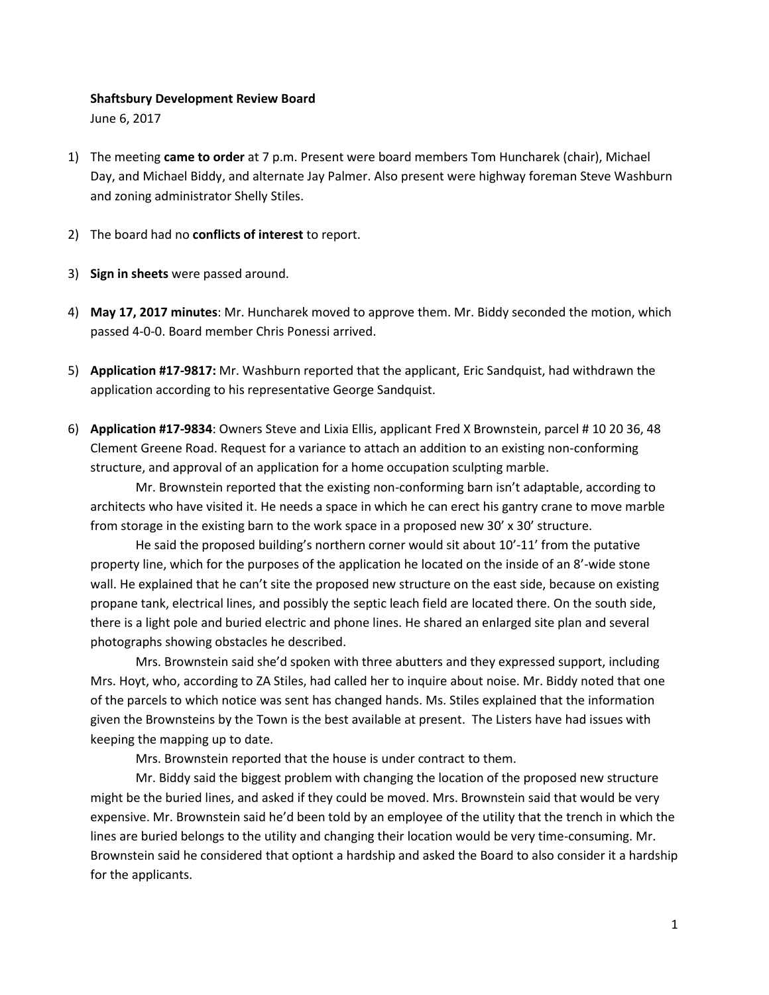## **Shaftsbury Development Review Board**

June 6, 2017

- 1) The meeting **came to order** at 7 p.m. Present were board members Tom Huncharek (chair), Michael Day, and Michael Biddy, and alternate Jay Palmer. Also present were highway foreman Steve Washburn and zoning administrator Shelly Stiles.
- 2) The board had no **conflicts of interest** to report.
- 3) **Sign in sheets** were passed around.
- 4) **May 17, 2017 minutes**: Mr. Huncharek moved to approve them. Mr. Biddy seconded the motion, which passed 4-0-0. Board member Chris Ponessi arrived.
- 5) **Application #17-9817:** Mr. Washburn reported that the applicant, Eric Sandquist, had withdrawn the application according to his representative George Sandquist.
- 6) **Application #17-9834**: Owners Steve and Lixia Ellis, applicant Fred X Brownstein, parcel # 10 20 36, 48 Clement Greene Road. Request for a variance to attach an addition to an existing non-conforming structure, and approval of an application for a home occupation sculpting marble.

Mr. Brownstein reported that the existing non-conforming barn isn't adaptable, according to architects who have visited it. He needs a space in which he can erect his gantry crane to move marble from storage in the existing barn to the work space in a proposed new 30' x 30' structure.

He said the proposed building's northern corner would sit about 10'-11' from the putative property line, which for the purposes of the application he located on the inside of an 8'-wide stone wall. He explained that he can't site the proposed new structure on the east side, because on existing propane tank, electrical lines, and possibly the septic leach field are located there. On the south side, there is a light pole and buried electric and phone lines. He shared an enlarged site plan and several photographs showing obstacles he described.

Mrs. Brownstein said she'd spoken with three abutters and they expressed support, including Mrs. Hoyt, who, according to ZA Stiles, had called her to inquire about noise. Mr. Biddy noted that one of the parcels to which notice was sent has changed hands. Ms. Stiles explained that the information given the Brownsteins by the Town is the best available at present. The Listers have had issues with keeping the mapping up to date.

Mrs. Brownstein reported that the house is under contract to them.

Mr. Biddy said the biggest problem with changing the location of the proposed new structure might be the buried lines, and asked if they could be moved. Mrs. Brownstein said that would be very expensive. Mr. Brownstein said he'd been told by an employee of the utility that the trench in which the lines are buried belongs to the utility and changing their location would be very time-consuming. Mr. Brownstein said he considered that optiont a hardship and asked the Board to also consider it a hardship for the applicants.